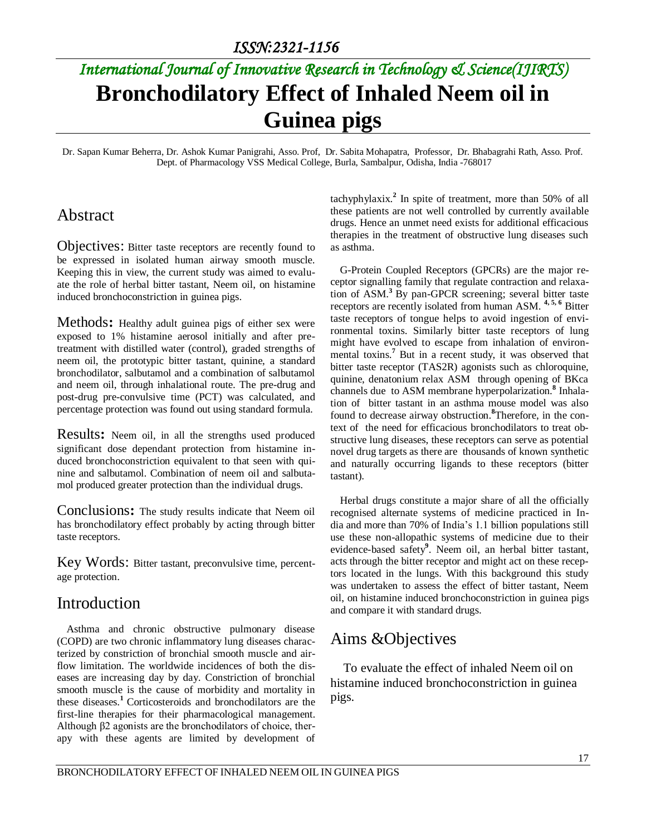# *International Journal of Innovative Research in Technology & Science(IJIRTS)* **Bronchodilatory Effect of Inhaled Neem oil in Guinea pigs**

Dr. Sapan Kumar Beherra, Dr. Ashok Kumar Panigrahi, Asso. Prof, Dr. Sabita Mohapatra, Professor, Dr. Bhabagrahi Rath, Asso. Prof. Dept. of Pharmacology VSS Medical College, Burla, Sambalpur, Odisha, India -768017

### Abstract

Objectives: Bitter taste receptors are recently found to be expressed in isolated human airway smooth muscle. Keeping this in view, the current study was aimed to evaluate the role of herbal bitter tastant, Neem oil, on histamine induced bronchoconstriction in guinea pigs.

Methods**:** Healthy adult guinea pigs of either sex were exposed to 1% histamine aerosol initially and after pretreatment with distilled water (control), graded strengths of neem oil, the prototypic bitter tastant, quinine, a standard bronchodilator, salbutamol and a combination of salbutamol and neem oil, through inhalational route. The pre-drug and post-drug pre-convulsive time (PCT) was calculated, and percentage protection was found out using standard formula.

Results**:** Neem oil, in all the strengths used produced significant dose dependant protection from histamine induced bronchoconstriction equivalent to that seen with quinine and salbutamol. Combination of neem oil and salbutamol produced greater protection than the individual drugs.

Conclusions**:** The study results indicate that Neem oil has bronchodilatory effect probably by acting through bitter taste receptors.

Key Words: Bitter tastant, preconvulsive time, percentage protection.

#### Introduction

Asthma and chronic obstructive pulmonary disease (COPD) are two chronic inflammatory lung diseases characterized by constriction of bronchial smooth muscle and airflow limitation. The worldwide incidences of both the diseases are increasing day by day. Constriction of bronchial smooth muscle is the cause of morbidity and mortality in these diseases.<sup>1</sup> Corticosteroids and bronchodilators are the first-line therapies for their pharmacological management. Although β2 agonists are the bronchodilators of choice, therapy with these agents are limited by development of

tachyphylaxix.**<sup>2</sup>** In spite of treatment, more than 50% of all these patients are not well controlled by currently available drugs. Hence an unmet need exists for additional efficacious therapies in the treatment of obstructive lung diseases such as asthma.

G-Protein Coupled Receptors (GPCRs) are the major receptor signalling family that regulate contraction and relaxation of ASM.**<sup>3</sup>**By pan-GPCR screening; several bitter taste receptors are recently isolated from human ASM. **4, 5, 6** Bitter taste receptors of tongue helps to avoid ingestion of environmental toxins. Similarly bitter taste receptors of lung might have evolved to escape from inhalation of environmental toxins.**<sup>7</sup>** But in a recent study, it was observed that bitter taste receptor (TAS2R) agonists such as chloroquine, quinine, denatonium relax ASM through opening of BKca channels due to ASM membrane hyperpolarization.**<sup>8</sup>** Inhalation of bitter tastant in an asthma mouse model was also found to decrease airway obstruction.**<sup>8</sup>**Therefore, in the context of the need for efficacious bronchodilators to treat obstructive lung diseases, these receptors can serve as potential novel drug targets as there are thousands of known synthetic and naturally occurring ligands to these receptors (bitter tastant).

Herbal drugs constitute a major share of all the officially recognised alternate systems of medicine practiced in India and more than 70% of India's 1.1 billion populations still use these non-allopathic systems of medicine due to their evidence-based safety**<sup>9</sup>** . Neem oil, an herbal bitter tastant, acts through the bitter receptor and might act on these receptors located in the lungs. With this background this study was undertaken to assess the effect of bitter tastant, Neem oil, on histamine induced bronchoconstriction in guinea pigs and compare it with standard drugs.

# Aims &Objectives

To evaluate the effect of inhaled Neem oil on histamine induced bronchoconstriction in guinea pigs.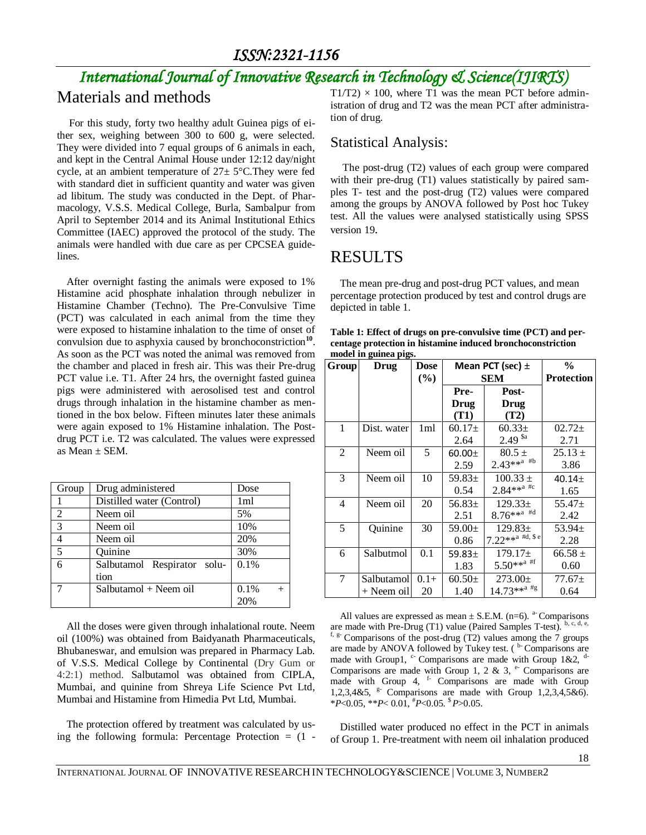# *International Journal of Innovative Research in Technology & Science(IJIRTS)*

## Materials and methods

For this study, forty two healthy adult Guinea pigs of either sex, weighing between 300 to 600 g, were selected. They were divided into 7 equal groups of 6 animals in each, and kept in the Central Animal House under 12:12 day/night cycle, at an ambient temperature of 27± 5°C.They were fed with standard diet in sufficient quantity and water was given ad libitum. The study was conducted in the Dept. of Pharmacology, V.S.S. Medical College, Burla, Sambalpur from April to September 2014 and its Animal Institutional Ethics Committee (IAEC) approved the protocol of the study. The animals were handled with due care as per CPCSEA guidelines.

After overnight fasting the animals were exposed to 1% Histamine acid phosphate inhalation through nebulizer in Histamine Chamber (Techno). The Pre-Convulsive Time (PCT) was calculated in each animal from the time they were exposed to histamine inhalation to the time of onset of convulsion due to asphyxia caused by bronchoconstriction<sup>10</sup>. As soon as the PCT was noted the animal was removed from the chamber and placed in fresh air. This was their Pre-drug PCT value i.e. T1. After 24 hrs, the overnight fasted guinea pigs were administered with aerosolised test and control drugs through inhalation in the histamine chamber as mentioned in the box below. Fifteen minutes later these animals were again exposed to 1% Histamine inhalation. The Postdrug PCT i.e. T2 was calculated. The values were expressed as Mean ± SEM.

| Group                                | Drug administered                   | Dose |
|--------------------------------------|-------------------------------------|------|
|                                      | Distilled water (Control)           | 1ml  |
| 2                                    | Neem oil                            | 5%   |
| $\overline{3}$                       | Neem oil                            | 10%  |
| $\overline{4}$                       | Neem oil                            | 20%  |
| $\overline{\overline{\overline{5}}}$ | Quinine                             | 30%  |
| 6                                    | Salbutamol Respirator solu-<br>tion | 0.1% |
|                                      | Salbutamol + Neem oil               | 0.1% |
|                                      |                                     | 20%  |

All the doses were given through inhalational route. Neem oil (100%) was obtained from Baidyanath Pharmaceuticals, Bhubaneswar, and emulsion was prepared in Pharmacy Lab. of V.S.S. Medical College by Continental (Dry Gum or 4:2:1) method. Salbutamol was obtained from CIPLA, Mumbai, and quinine from Shreya Life Science Pvt Ltd, Mumbai and Histamine from Himedia Pvt Ltd, Mumbai.

The protection offered by treatment was calculated by using the following formula: Percentage Protection  $= (1 -$   $T1/T2 \times 100$ , where T1 was the mean PCT before administration of drug and T2 was the mean PCT after administration of drug.

#### Statistical Analysis:

The post-drug (T2) values of each group were compared with their pre-drug (T1) values statistically by paired samples T- test and the post-drug (T2) values were compared among the groups by ANOVA followed by Post hoc Tukey test. All the values were analysed statistically using SPSS version 19.

# RESULTS

The mean pre-drug and post-drug PCT values, and mean percentage protection produced by test and control drugs are depicted in table 1.

| Table 1: Effect of drugs on pre-convulsive time (PCT) and per- |
|----------------------------------------------------------------|
| centage protection in histamine induced bronchoconstriction    |
| model in guinea pigs.                                          |

| Group          | Drug        | <b>Dose</b> | Mean PCT (sec) $\pm$ |                                      | $\frac{6}{9}$     |
|----------------|-------------|-------------|----------------------|--------------------------------------|-------------------|
|                |             | (%)         | <b>SEM</b>           |                                      | <b>Protection</b> |
|                |             |             | Pre-                 | Post-                                |                   |
|                |             |             | <b>Drug</b>          | Drug                                 |                   |
|                |             |             | (T1)                 | (T2)                                 |                   |
| 1              | Dist. water | 1ml         | $60.17\pm$           | $60.33\pm$                           | $02.72+$          |
|                |             |             | 2.64                 | $2.49$ <sup>\$a</sup>                | 2.71              |
| $\mathfrak{D}$ | Neem oil    | 5           | $60.00 +$            | $80.5 \pm$                           | $25.13 \pm$       |
|                |             |             | 2.59                 | $2.43***^{\text{a}}$ #b              | 3.86              |
| 3              | Neem oil    | 10          | 59.83 $\pm$          | $100.33 \pm$                         | $40.14 +$         |
|                |             |             | 0.54                 | $2.84***^{\text{a} }$ #c             | 1.65              |
| $\overline{4}$ | Neem oil    | 20          | 56.83 $\pm$          | $129.33\pm$                          | $55.47+$          |
|                |             |             | 2.51                 | $8.76***^{\mathrm{a}}$ #d            | 2.42              |
| 5              | Quinine     | 30          | 59.00 $\pm$          | $129.83 \pm$                         | 53.94 $\pm$       |
|                |             |             | 0.86                 | $7.22***^{\text{a}}$ #d, \$ e        | 2.28              |
| 6              | Salbutmol   | 0.1         | 59.83 $\pm$          | $179.17\pm$                          | $66.58 \pm$       |
|                |             |             | 1.83                 | $5.50***^{\mathrm{a} \#f}$           | 0.60              |
| 7              | Salbutamol  | $0.1 +$     | $60.50 \pm$          | $273.00 \pm$                         | $77.67 \pm$       |
|                | + Neem oil  | 20          | 1.40                 | $14.73***^{\mathrm{a} + \mathrm{g}}$ | 0.64              |

All values are expressed as mean  $\pm$  S.E.M. (n=6). <sup>a-</sup> Comparisons are made with Pre-Drug (T1) value (Paired Samples T-test). b, c, d, e,  $f, g$ - Comparisons of the post-drug (T2) values among the 7 groups are made by ANOVA followed by Tukey test.  $($ <sup>b-</sup> Comparisons are made with Group1, <sup>c-</sup> Comparisons are made with Group 1&2, <sup>d-</sup> Comparisons are made with Group 1, 2 & 3,  $e$ -Comparisons are made with Group 4,  $f$ - Comparisons are made with Group 1,2,3,4&5,  $e^{\pm}$  Comparisons are made with Group 1,2,3,4,5&6). \**P*<0.05, \*\**P*< 0.01, #*P*<0.05. \$ *P*>0.05.

Distilled water produced no effect in the PCT in animals of Group 1. Pre-treatment with neem oil inhalation produced